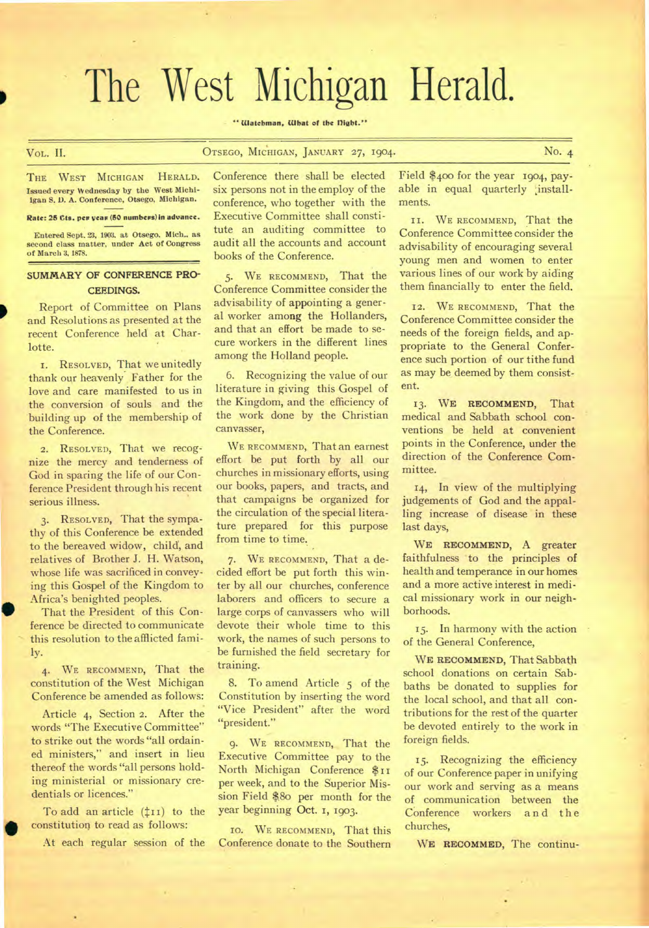# The West Michigan Herald.

**"Watchman. Winn of the MIA."** 

### VoL. II. **OTSEGO, MICHIGAN, JANUARY 27, 1904.** No. 4

THE WEST MICHIGAN HERALD. **Issued every Wednesday by the West MIchiigan S. D. A. Conference, Otsego, Michigan.** 

### **Rate: 25 Cts. per yeas (50 numbers) in advance.**

**Entered Sept. 23, 1903. at Otsego. Mich.. as second class matter, under Act of Congress of March 3, 1878.** 

## **SUMMARY OF CONFERENCE PRO-CEEDINGS.**

Report of Committee on Plans and Resolutions as presented at the recent Conference held at Charlotte.

**I. RESOLVED,** That we unitedly thank our heavenly Father for the love and care manifested to us in the conversion of souls and the building up of the membership of the Conference.

**2. RESOLVED,** That we recognize the mercy and tenderness of God in sparing the life of our Conference President through his recent serious illness.

**3. RESOLVED,** That the sympathy of this Conference be extended to the bereaved widow, child, and relatives of Brother J. H. Watson, whose life was sacrificed in conveying this Gospel of the Kingdom to Africa's benighted peoples.

That the President of this Conference be directed to communicate this resolution to the afflicted family.

**4. WE RECOMMEND,** That the constitution of the West Michigan Conference be amended as follows:

Article 4, Section **2.** After the words "The Executive Committee" to strike out the words "all ordained ministers," and insert in lieu thereof the words "all persons holding ministerial or missionary credentials or licences."

To add an article  $(\text{11})$  to the constitution to read as follows:

At each regular session of the

Conference there shall be elected six persons not in the employ of the conference, who together with the Executive Committee shall constitute an auditing committee to audit all the accounts and account books of the Conference.

**5. WE RECOMMEND,** That the Conference Committee consider the advisability of appointing a general worker among the Hollanders, and that an effort be made to secure workers in the different lines among the Holland people.

6. Recognizing the value of our literature in giving this Gospel of the Kingdom, and the efficiency of the work done by the Christian canvasser,

**WE RECOMMEND,** That an earnest effort be put forth by all our churches in missionary efforts, using our books, papers, and tracts, and that campaigns be organized for the circulation of the special literature prepared for this purpose from time to time.

**7. WE RECOMMEND,** That a decided effort be put forth this winter by all our churches, conference laborers and officers to secure a large corps of canvassers who will devote their whole time to this work, the names of such persons to be furnished the field secretary for training.

8. To amend Article 5 of the Constitution by inserting the word "Vice President" after the word "president."

**9. WE RECOMMEND,** That the Executive Committee pay to the North Michigan Conference \$11 per week, and to the Superior Mission Field \$.8o per month for the year beginning Oct. I, 1903.

**WE RECOMMEND,** That this Conference donate to the Southern

Field \$400 for the year 1904, payable in equal quarterly ;installments.

**II. WE RECOMMEND,** That the Conference Committee consider the advisability of encouraging several young men and women to enter various lines of our work by aiding them financially to enter the field.

**12. WE RECOMMEND,** That the Conference Committee consider the needs of the foreign fields, and appropriate to the General Conference such portion of our tithe fund as may be deemed by them consistent.

**13. WE RECOMMEND,** That medical and Sabbath school conventions be held at convenient points in the Conference, under the direction of the Conference Committee.

14, In view of the multiplying judgements of God and the appalling increase of disease in these last days,

**WE RECOMMEND,** A greater faithfulness to the principles of health and temperance in our homes and a more active interest in medical missionary work in our neighborhoods.

15. In harmony with the action of the General Conference,

**WE RECOMMEND,** That Sabbath school donations on certain Sabbaths be donated to supplies for the local school, and that all contributions for the rest of the quarter be devoted entirely to the work in foreign fields.

15. Recognizing the efficiency of our Conference paper in unifying our work and serving as a means of communication between the Conference workers and the churches,

**WE RECOMMED,** The continu-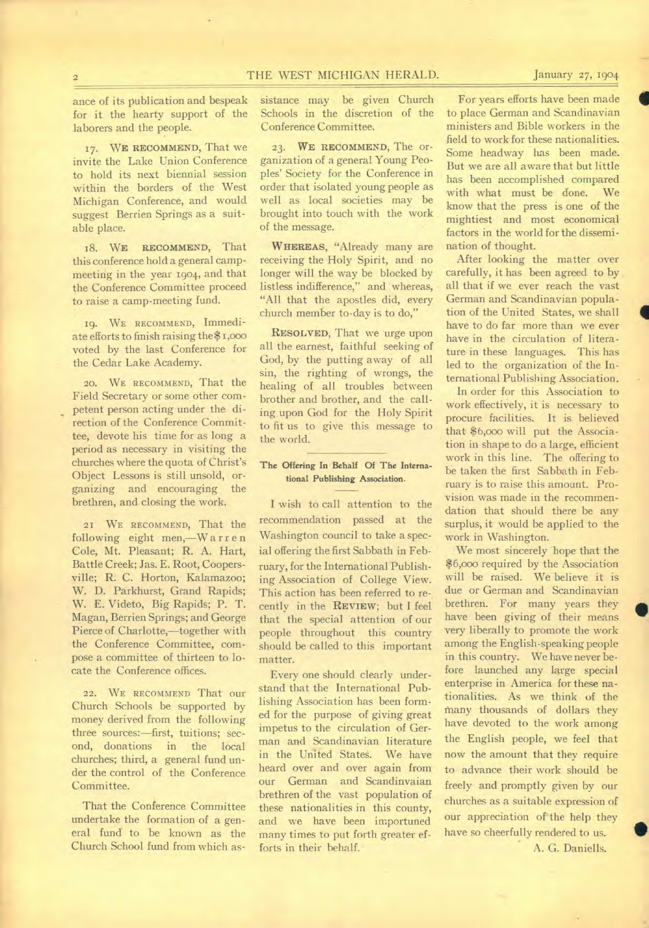I

•

ance of its publication and bespeak for it the hearty support of the laborers and the people.

**17. WE RECOMMEND,** That we invite the Lake Union Conference to hold its next biennial session within the borders of the West Michigan Conference, and would suggest Berrien Springs as a suitable place.

18. WE **RECOMMEND,** That this conference hold a general campmeeting in the year 1904, and that the Conference Committee proceed to raise a camp-meeting fund.

19. WE RECOMMEND, Immediate efforts to finish raising the \$1,000 voted by the last Conference for the Cedar Lake Academy.

20. WE RECOMMEND, That the Field Secretary or some other competent person acting under the direction of the Conference Committee, devote his time for as long a period as necessary in visiting the churches where the quota of Christ's Object Lessons is still unsold, organizing and encouraging the brethren, and closing the work.

21 WE RECOMMEND, That the following eight men,—W a r r en Cole, Mt. Pleasant; R. A. Hart, Battle Creek; Jas. E. Root, Coopersville; R. C. Horton, Kalamazoo; W. D. Parkhurst, Grand Rapids; W. E. Videto, Big Rapids; P. T. Magan, Berrien Springs; and George Pierce of Charlotte,—together with the Conference Committee, compose a committee of thirteen to locate the Conference offices.

22. WE RECOMMEND That OUT Church Schools be supported by money derived from the following three sources:—first, tuitions; second, donations in the local churches; third, a general fund under the control of the Conference Committee.

That the Conference Committee undertake the formation of a general fund to be known as the Church School fund from which assistance may be given Church Schools in the discretion of the Conference Committee.

**23. WE RECOMMEND,** The organization of a general Young Peoples' Society for the Conference in order that isolated young people as well as local societies may be brought into touch with the work of the message.

**WHEREAS,** "Already many are receiving the Holy Spirit, and no longer will the way be blocked by listless indifference," and whereas, "All that the apostles did, every church member to-day is to do,"

**RESOLVED,** That we urge upon all the earnest, faithful seeking of God, by the putting away of all sin, the righting of wrongs, the healing of all troubles between brother and brother, and the calling upon God for the Holy Spirit to fit us to give this message to the world.

### **The Offering In Behalf Of The International Publishing Association.**

I wish to call attention to the recommendation passed at the Washington council to take a special offering the first Sabbath in February, for the International Publishing Association of College View. This action has been referred to recently in the **REVIEW;** but I feel that the special attention of our people throughout this country should be called to this important matter.

Every one should clearly understand that the International Publishing Association has been formed for the purpose of giving great impetus to the circulation of German and Scandinavian literature in the United States. We have heard over and over again from our German and Scandinvaian brethren of the vast population of these nationalities in this county, and we have been importuned many times to put forth greater efforts in their behalf.

For years efforts have been made to place German and Scandinavian ministers and Bible workers in the field to work for these nationalities. Some headway has been made. But we are all aware that but little has been accomplished compared with what must be done. We know that the press is one of the mightiest and most economical factors in the world for the dissemination of thought.

After looking the matter over carefully, it has been agreed to by all that if we ever reach the vast German and Scandinavian population of the United States, we shall have to do far more than we ever have in the circulation of literature in these languages. This has led to the organization of the International Publishing Association.

In order for this Association to work effectively, it is necessary to procure facilities. It is believed that \$6,000 will put the Association in shape to do a large, efficient work in this line. The offering to be taken the first Sabbath in February is to raise this amount. Provision was made in the recommendation that should there be any surplus, it would be applied to the work in Washington.

We most sincerely hope that the \$6,000 required by the Association will be raised. We believe it is due or German and Scandinavian brethren. For many years they have been giving of their means very liberally to promote the work among the English-speaking people in this country. We have never before launched any large special enterprise in America for these nationalities. As we think of the fnany thousands of dollars they have devoted to the work among the English people, we feel that now the amount that they require to advance their work should be freely and promptly given by our churches as a suitable expression of our appreciation of the help they have so cheerfully rendered to us. A. G. Daniells.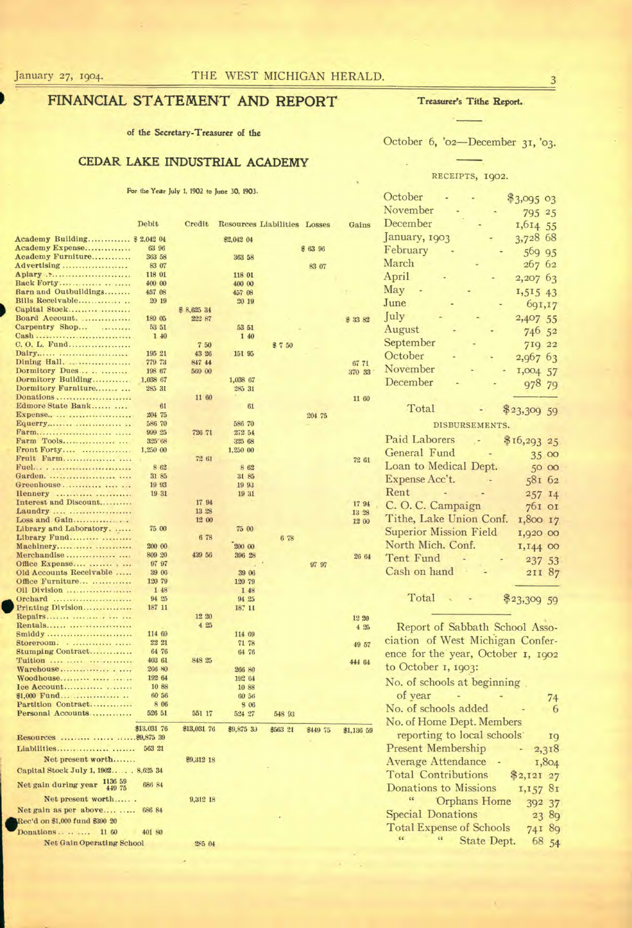# **FINANCIAL STATEMENT AND REPORT Treasurer's Tithe Report.**

**of the Secretary-Treasurer of the** 

## **CEDAR LAKE INDUSTRIAL ACADEMY**

For the Year July 1, 1902 to June 30, 1903.

October 6, '02-December 31, '03.

### RECEIPTS, 1902.

|                                           | Debit              | Credit      |                  | Resources Liabilities Losses |          | Gains      |
|-------------------------------------------|--------------------|-------------|------------------|------------------------------|----------|------------|
| Academy Building \$ 2,042 04              |                    |             | 82,042 04        |                              |          |            |
| Academy Expense                           | 63 96              |             |                  |                              | \$63 96  |            |
| Academy Furniture                         | 363 58             |             | 363 58           |                              |          |            |
| Advertising                               | 83 07              |             |                  |                              | 83 07    |            |
| Apiary                                    | 118 01             |             | 118 01           |                              |          |            |
| Back Forty<br>Barn and Outbuildings       | 400 00<br>457 08   |             | 400 00<br>457 08 |                              |          |            |
| Bills Receivable                          | 20 19              |             | 20 19            |                              |          |            |
| Capital Stock                             |                    | \$8,625 34  |                  |                              |          |            |
| Board Account.                            | 189 05             | 222 87      |                  |                              |          | \$33.82    |
| Carpentry Shop<br>.                       | 53 51              |             | 53 51            |                              |          |            |
| Cash                                      | 140                |             | 1 40             |                              |          |            |
| C. O. L. Fund                             |                    | 7.50        |                  | \$7,50                       |          |            |
| Dairy                                     | 195 21             | 43 26       | 151 95           |                              |          |            |
| Dining Hall.                              | 779 73             | 847 44      |                  |                              |          | 67 71      |
| Dormitory Dues<br>Dormitory Building      | 198 67<br>1,038 67 | 569 00      | 1,038 67         |                              |          | 370 33     |
| Dormitory Furniture                       | 285 31             |             | 285 31           |                              |          |            |
| Donations                                 |                    | 11 60       |                  |                              |          | 11 60      |
| Edmore State Bank                         | 61                 |             | 61               |                              |          |            |
| Expense                                   | 204 75             |             |                  |                              | 204 75   |            |
| Equerry                                   | 586 70             |             | 586 70           |                              |          |            |
|                                           | 999 25             | 726 71      | 272 54           |                              |          |            |
| Farm Tools                                | 325 68             |             | 325 68           |                              |          |            |
| Front Forty<br>Fruit Farm                 | 1,250 00           |             | 1,250 00         |                              |          |            |
| Fuel                                      | 8 62               | 72 61       | 862              |                              |          | 72 61      |
| Garden.                                   | 31 85              |             | 31 85            |                              |          |            |
| Greenhouse                                | 19 93              |             | 19 93            |                              |          |            |
| Hennery                                   | 19 31              |             | 19 31            |                              |          |            |
| Interest and Discount                     |                    | 17 94       |                  |                              |          | 1794       |
| Laundry                                   |                    | 13 28       |                  |                              |          | 13 28      |
| Loss and Gain                             |                    | 12 00       |                  |                              |          | 12 00      |
| Library and Laboratory.                   | 75 00              |             | 75 00            |                              |          |            |
| Library Fund                              |                    | 6 78        |                  | 6 78                         |          |            |
| Machinery                                 | 200 00<br>809 20   | 439 56      | 200 00<br>396 28 |                              |          |            |
| Office Expense                            | 97 97              |             |                  |                              | 97 97    | 26 64      |
| Old Accounts Receivable                   | 39 06              |             | 39 06            |                              |          |            |
| Office Furniture                          | 120 79             |             | 120 79           |                              |          |            |
| Oil Division                              | 1 48               |             | 1 48             |                              |          |            |
| Orchard                                   | 94 25              |             | 94 25            |                              |          |            |
| Printing Division                         | 187 11             |             | 187 11           |                              |          |            |
| Repairs                                   |                    | 12 20       |                  |                              |          | 12 20      |
| Rentals                                   |                    | 425         |                  |                              |          | 4.25       |
| Smiddy<br>Storeroom                       | 114 69<br>22 21    |             | 114 69           |                              |          |            |
| Stumping Contract                         | 64 76              |             | 71 78<br>64 76   |                              |          | 49 57      |
| Tuition                                   | 403 61             | 848 25      |                  |                              |          | 444 64     |
| Warehouse                                 | 266 80             |             | 266 80           |                              |          |            |
| Woodhouse                                 | 192 64             |             | 192 64           |                              |          |            |
| Ice Account                               | 10 88              |             | 10 88            |                              |          |            |
| \$1.000 Fund                              | 60 56              |             | 60 56            |                              |          |            |
| Partition Contract                        | 8 06               |             | <b>S</b> 06      |                              |          |            |
| Personal Accounts                         | 526 51             | 551 17      | 524 27           | 548 93                       |          |            |
|                                           | \$13,031 76        | \$13,031 76 | \$9,875 39       | \$563 21                     | \$449 75 | \$1,136 59 |
| Resources    \$9,875 39                   |                    |             |                  |                              |          |            |
|                                           | 563 21             |             |                  |                              |          |            |
| Net present worth                         |                    |             |                  |                              |          |            |
|                                           |                    | \$9,312 18  |                  |                              |          |            |
| Capital Stock July 1, 1902 8,625 34       |                    |             |                  |                              |          |            |
| 1136 59<br>Net gain during year<br>449 75 | 686 84             |             |                  |                              |          |            |
| Net present worth                         |                    | 9,312 18    |                  |                              |          |            |
| Net gain as per above                     | 686 84             |             |                  |                              |          |            |
| Rec'd on \$1,000 fund \$390 20            |                    |             |                  |                              |          |            |
| Donations<br>11 60                        | 401 80             |             |                  |                              |          |            |
| <b>Net Gain Operating School</b>          |                    |             |                  |                              |          |            |
|                                           |                    | 285 04      |                  |                              |          |            |
|                                           |                    |             |                  |                              |          |            |

|                     | October                       | $$3,095$ 03  |
|---------------------|-------------------------------|--------------|
|                     | November                      | 795 25       |
| is                  | December                      | 1,614 55     |
|                     | January, 1903                 | 3,728 68     |
|                     | February                      | 569 95       |
|                     | March                         | 267 62       |
|                     | April                         | 2,207 63     |
|                     | May                           | 1,515 43     |
|                     | June.                         | 691,17       |
| 2                   | July                          | 2,407 55     |
|                     | August                        | 746 52       |
|                     | September                     | 719 22       |
|                     | October                       | 2,967 63     |
| 3                   | November                      | 1,004 57     |
|                     | December                      | 978 79       |
|                     |                               |              |
| $\dot{0}$           |                               |              |
|                     | Total                         |              |
|                     | DISBURSEMENTS.                | $$23,309$ 59 |
|                     |                               |              |
|                     | Paid Laborers                 | \$16,293 25  |
| ï                   | General Fund                  | 35 00        |
|                     | Loan to Medical Dept.         | 50 00        |
|                     | Expense Acc't.<br>Rent        | 581 62       |
| 4                   |                               | 257 14       |
| 8                   | C.O.C. Campaign               | 761 от       |
| $\ddot{\mathbf{0}}$ | Tithe, Lake Union Conf.       | 1,800 17     |
|                     | <b>Superior Mission Field</b> | 1,920 00     |
| 34                  | North Mich. Conf.             | 1,144 00     |
|                     | Tent Fund                     | 237 53       |
|                     | Cash on hand                  | 211 87       |
|                     | Total                         | \$23,309 59  |

Report of Sabbath School Association of West Michigan Conference for the year, October I, 1902 to October 1, 1903: No. of schools at beginning of year <br>o. of schools added <br>o. of schools added <br>o. 0 No. of schools added 6

No. of Home Dept. Members reporting to local schools 19 Present Membership - 2,318 Average Attendance - 1,804 Total Contributions \$2,121 27 Donations to Missions 1,157 81 Orphans Home 392 37 Special Donations 23 89 Total Expense of Schools 741 89 " State Dept. 68 54